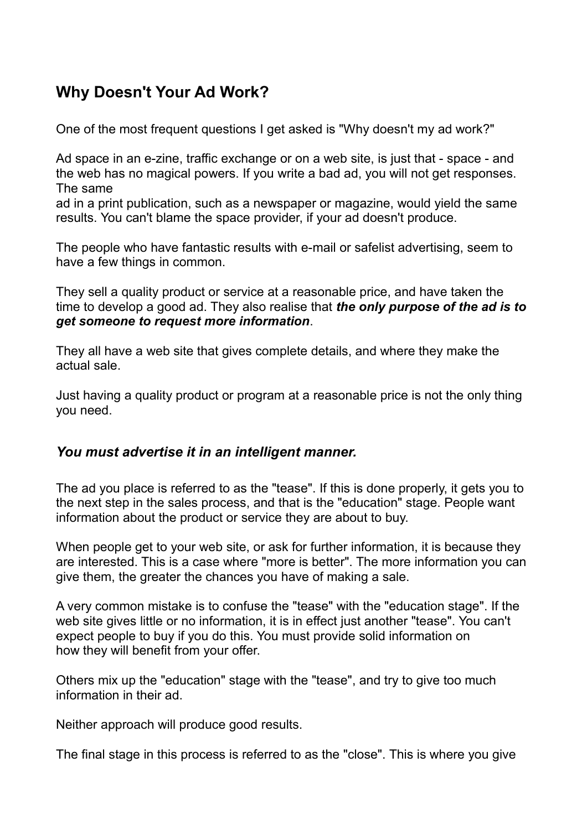## **Why Doesn't Your Ad Work?**

One of the most frequent questions I get asked is "Why doesn't my ad work?"

Ad space in an e-zine, traffic exchange or on a web site, is just that - space - and the web has no magical powers. If you write a bad ad, you will not get responses. The same

ad in a print publication, such as a newspaper or magazine, would yield the same results. You can't blame the space provider, if your ad doesn't produce.

The people who have fantastic results with e-mail or safelist advertising, seem to have a few things in common.

They sell a quality product or service at a reasonable price, and have taken the time to develop a good ad. They also realise that *the only purpose of the ad is to get someone to request more information*.

They all have a web site that gives complete details, and where they make the actual sale.

Just having a quality product or program at a reasonable price is not the only thing you need.

## *You must advertise it in an intelligent manner.*

The ad you place is referred to as the "tease". If this is done properly, it gets you to the next step in the sales process, and that is the "education" stage. People want information about the product or service they are about to buy.

When people get to your web site, or ask for further information, it is because they are interested. This is a case where "more is better". The more information you can give them, the greater the chances you have of making a sale.

A very common mistake is to confuse the "tease" with the "education stage". If the web site gives little or no information, it is in effect just another "tease". You can't expect people to buy if you do this. You must provide solid information on how they will benefit from your offer.

Others mix up the "education" stage with the "tease", and try to give too much information in their ad.

Neither approach will produce good results.

The final stage in this process is referred to as the "close". This is where you give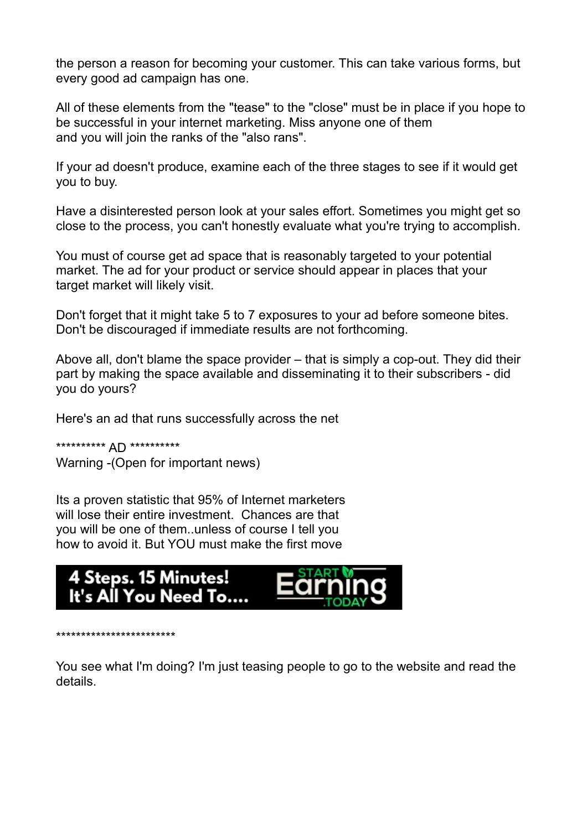the person a reason for becoming your customer. This can take various forms, but every good ad campaign has one.

All of these elements from the "tease" to the "close" must be in place if you hope to be successful in your internet marketing. Miss anyone one of them and you will join the ranks of the "also rans".

If your ad doesn't produce, examine each of the three stages to see if it would get you to buy.

Have a disinterested person look at your sales effort. Sometimes you might get so close to the process, you can't honestly evaluate what you're trying to accomplish.

You must of course get ad space that is reasonably targeted to your potential market. The ad for your product or service should appear in places that your target market will likely visit.

Don't forget that it might take 5 to 7 exposures to your ad before someone bites. Don't be discouraged if immediate results are not forthcoming.

Above all, don't blame the space provider – that is simply a cop-out. They did their part by making the space available and disseminating it to their subscribers - did you do yours?

Here's an ad that runs successfully across the net

\*\*\*\*\*\*\*\*\*\* AD \*\*\*\*\*\*\*\*\*\* Warning -(Open for important news)

Its a proven statistic that 95% of Internet marketers will lose their entire investment. Chances are that you will be one of them..unless of course I tell you how to avoid it. But YOU must make the first move



\*\*\*\*\*\*\*\*\*\*\*\*\*\*\*\*\*\*\*\*\*\*\*\*

You see what I'm doing? I'm just teasing people to go to the website and read the details.